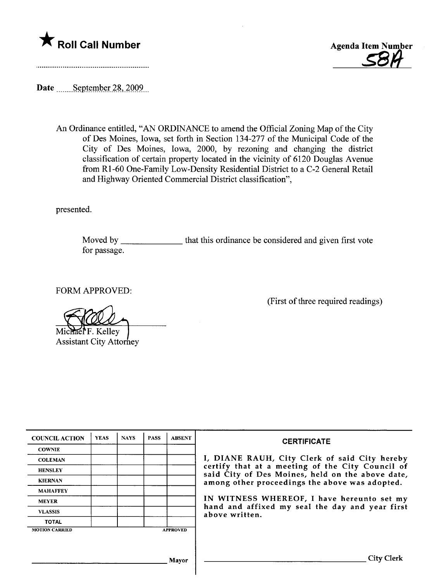



Date \_\_\_\_\_\_September 28, 2009.

An Ordinance entitled, "AN ORDINANCE to amend the Official Zoning Map of the City of Des Moines, Iowa, set forth in Section 134-277 of the Municipal Code of the City of Des Moines, Iowa, 2000, by rezoning and changing the district classification of certain property located in the vicinity of 6120 Douglas Avenue from Rl-60 One-Family Low-Density Residential District to a C-2 General Retail and Highway Oriented Commercial District classification",

presented.

Moved by \_\_\_\_\_\_\_\_\_\_\_\_\_\_\_\_ that this ordinance be considered and given first vote for passage.

FORM APPROVED:

Michael F. Kelley<br>Michael F. Kelley<br>Assistant City Attorney

(First of three required readings)

| <b>COUNCIL ACTION</b> | <b>YEAS</b> | <b>NAYS</b> | <b>PASS</b> | <b>ABSENT</b>   | <b>CERTIFICATE</b>                                                                                                                                                                                                                                                        |
|-----------------------|-------------|-------------|-------------|-----------------|---------------------------------------------------------------------------------------------------------------------------------------------------------------------------------------------------------------------------------------------------------------------------|
| <b>COWNIE</b>         |             |             |             |                 |                                                                                                                                                                                                                                                                           |
| <b>COLEMAN</b>        |             |             |             |                 | I, DIANE RAUH, City Clerk of said City hereby                                                                                                                                                                                                                             |
| <b>HENSLEY</b>        |             |             |             |                 | certify that at a meeting of the City Council of<br>said City of Des Moines, held on the above date,<br>among other proceedings the above was adopted.<br>IN WITNESS WHEREOF, I have hereunto set my<br>hand and affixed my seal the day and year first<br>above written. |
| <b>KIERNAN</b>        |             |             |             |                 |                                                                                                                                                                                                                                                                           |
| <b>MAHAFFEY</b>       |             |             |             |                 |                                                                                                                                                                                                                                                                           |
| <b>MEYER</b>          |             |             |             |                 |                                                                                                                                                                                                                                                                           |
| <b>VLASSIS</b>        |             |             |             |                 |                                                                                                                                                                                                                                                                           |
| <b>TOTAL</b>          |             |             |             |                 |                                                                                                                                                                                                                                                                           |
| <b>MOTION CARRIED</b> |             |             |             | <b>APPROVED</b> |                                                                                                                                                                                                                                                                           |
|                       |             |             |             |                 |                                                                                                                                                                                                                                                                           |
|                       |             |             |             | <b>Mayor</b>    | <b>City Clerk</b>                                                                                                                                                                                                                                                         |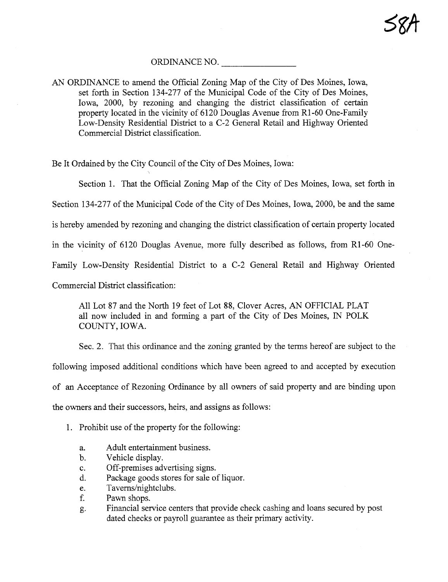#### ORDINANCE NO.

AN ORDINANCE to amend the Official Zoning Map of the City of Des Moines, Iowa, set forth in Section 134-277 of the Muncipal Code of the City of Des Moines, Iowa, 2000, by rezoning and changing the district classification of certain property located in the vicinity of 6120 Douglas Avenue from Rl-60 One-Famly Low-Density Residential District to a C-2 General Retail and Highway Oriented Commercial District classification.

Be It Ordained by the City Council of the City of Des Moines, Iowa:

Section 1. That the Official Zoning Map of the City of Des Moines, Iowa, set forth in Section 134-277 of the Municipal Code of the City of Des Moines, Iowa, 2000, be and the same is hereby amended by rezoning and changing the district classification of certain property located in the vicinity of 6120 Douglas Avenue, more fully described as follows, from R1 -60 One-Family Low-Density Residential District to a C-2 General Retail and Highway Oriented Commercial District classification:

All Lot 87 and the North 19 feet of Lot 88, Clover Acres, AN OFFICIAL PLAT all now included in and forming a part of the City of Des Moines, IN POLK COUNTY, IOWA.

Sec. 2. That this ordinance and the zonig granted by the terms hereof are subject to the following imposed additional conditions which have been agreed to and accepted by execution of an Acceptace of Rezonig Ordinance by all owners of said property and are binding upon the owners and their successors, heirs, and assigns as follows:

1. Prohibit use of the property for the following:

- a. Adult entertainment business.
- b. Vehicle display.
- c. Off-premises advertising signs.
- d. Package goods stores for sale of liquor.
- e. Taverns/nightclubs.
- f. Pawn shops.
- g. Financial service centers that provide check cashing and loans secured by post dated checks or payroll guarantee as their primary activity.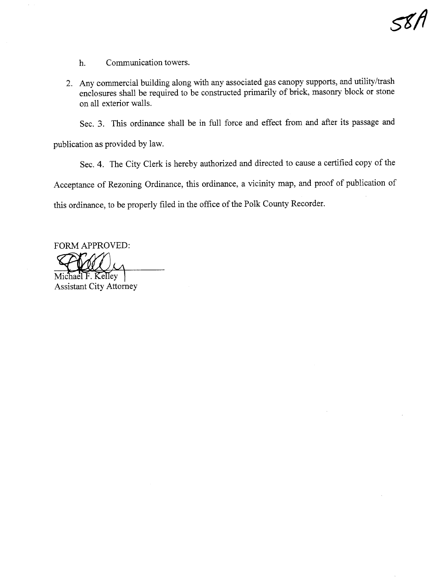h. Communication towers.

2. Any commercial building along with any associated gas canopy supports, and utility/trash enclosures shall be required to be constructed primarily of brick, masonry block or stone on all exterior walls.

Sec. 3. This ordinance shall be in full force and effect from and after its passage and

publication as provided by law.

Sec. 4. The City Clerk is hereby authorized and directed to cause a certified copy of the Acceptance of Rezoning Ordinance, this ordinance, a vicinty map, and proof of publication of this ordinance, to be properly filed in the office of the Polk County Recorder.

FORM APPROVED: FORM APPROVED:<br>Michael F. Kelley<br>Assistant City Attorney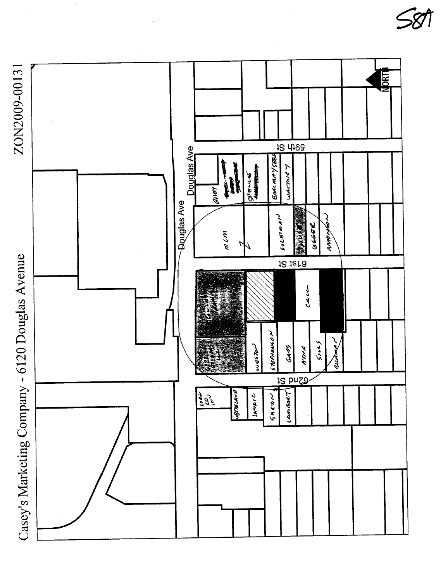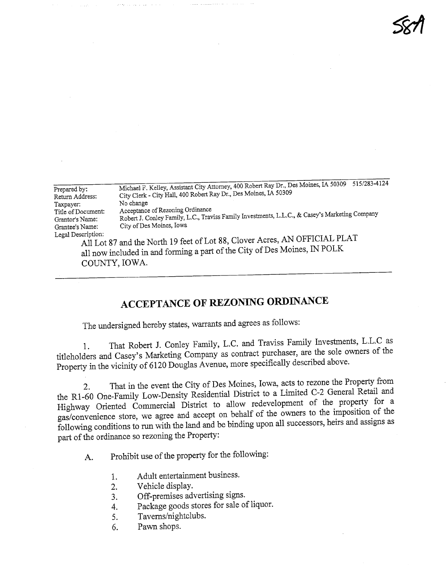| Prepared by:       | Michael F. Kelley, Assistant City Attorney, 400 Robert Ray Dr., Des Moines, IA 50309 515/283-4124                                                       |  |  |  |  |
|--------------------|---------------------------------------------------------------------------------------------------------------------------------------------------------|--|--|--|--|
| Return Address:    | City Clerk - City Hall, 400 Robert Ray Dr., Des Moines, IA 50309                                                                                        |  |  |  |  |
| Taxpayer:          | No change                                                                                                                                               |  |  |  |  |
| Title of Document: | Acceptance of Rezoning Ordinance                                                                                                                        |  |  |  |  |
| Grantor's Name:    | Robert J. Conley Family, L.C., Traviss Family Investments, L.L.C., & Casey's Marketing Company                                                          |  |  |  |  |
| Grantee's Name:    | City of Des Moines, Iowa                                                                                                                                |  |  |  |  |
| Legal Description: | All Lot 87 and the North 19 feet of Lot 88, Clover Acres, AN OFFICIAL PLAT<br>all now included in and forming a part of the City of Des Moines, IN POLK |  |  |  |  |

**581** 

COUNTY, IOWA.

# ACCEPTANCE OF REZONIG ORDINANCE

The undersigned hereby states, warants and agrees as follows:

1. That Robert J. Comey Family, L.C. and Traviss Family Investments of the titleholders and Casey's Marketing Company as contract purchaser, are the sole owners of the Property in the vicinity of 6120 Douglas Avenue, more specifically described above.

2. That in the event the City of Des Moines, Iowa,  $\frac{1}{2}$  of  $\frac{1}{2}$   $\frac{1}{2}$   $\frac{1}{2}$   $\frac{1}{2}$   $\frac{1}{2}$   $\frac{1}{2}$   $\frac{1}{2}$   $\frac{1}{2}$   $\frac{1}{2}$   $\frac{1}{2}$   $\frac{1}{2}$   $\frac{1}{2}$   $\frac{1}{2}$   $\frac{1}{2}$   $\frac{1}{2}$   $\frac{1}{2$ the R1-60 One-Family Low-Density Residential District to a Limited C-2 General Retail and Highway Oriented Commercial District to allow redevelopment of the property for a gas/convenience store, we agree and accept on behalf of the owners to the imposition of the following conditions to run with the land and be binding upon all successors, heirs and assigns as part of the ordinance so rezoning the Property:

A. Prohibit use of the property for the following:

- 1. Adult entertainment business.
- 2. Vehicle display.
- 3. Off-premises advertising signs.
- 4. Package goods stores for sale of liquor.
- 5. Taverns/nightclubs.
- 6. Pawn shops.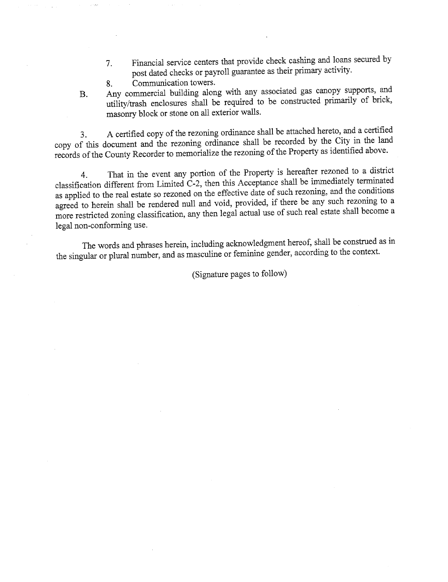- 7. Financial service centers that provide check cashing and loans secured by post dated checks or payroll guarantee as their primary activity.<br>Communication towers.
- 8. Communcation towers.
- B. Any commercial building along with any associated gas canopy supports, and utility/trash enclosures shall be required to be constructed primarily of brick, masonry block or stone on all exterior walls.

3. A certified copy of the rezonig ordinance shall be attached hereto, and a certified copy of ths document and the rezonig ordinance shall be recorded by the City in the land records of the County Recorder to memorialize the rezoning of the Property as identified above.

4. That in the event any portion of the Property is hereafter reasonable to a distribution of the district of a distribution of the district of a distribution of the district of a distribution of the distribution of the di classification different from Limited C-2, then ths Acceptance shall be imhediately termated as applied to the real estate so rezoned on the effective date of such rezoning, and the conditions agreed to herein shall be rendered null and void, provided, if there be any such rezoning to a more restricted zoning classification, any then legal actual use of such real estate shall become a legal non-conforming use.

The words and phrases herein, including acknowledgment hereof, shall be constred as in the singular or plural number, and as masculine or feminine gender, according to the context.

(Signatue pages to follow)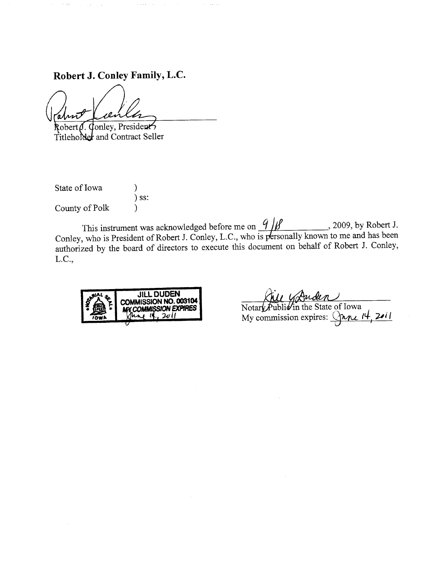# Robert J. Conley Family, L.C.

Professional and

nnt

الوارد والمتعاون

Robert (J. Conley, President Titleholder and Contract Seller

State of Iowa (1) ) ss: County of Polk  $)$ 

This instrument was acknowledged before me on  $\frac{1}{\mu}$ ,  $\frac{1}{\mu}$ ,  $\frac{2009}{\mu}$ , by Robert 1. Conley, who is President of Robert J. Conley, L.C., who is personally known to me and has been authorized by the board of directors to execute this document on behalf of Robert J. Conley, L.C.,



<u>Rice</u> Graden My commission expires:  $\sqrt{ML}$  if  $\sqrt{III}$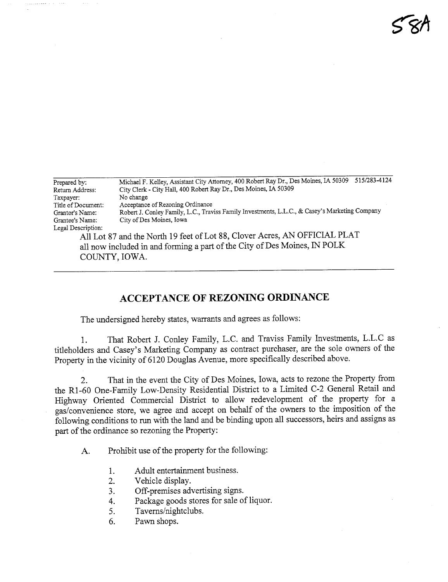| Prepared by:       | 515/283-4124<br>Michael F. Kelley, Assistant City Attorney, 400 Robert Ray Dr., Des Moines, IA 50309 |  |  |  |  |
|--------------------|------------------------------------------------------------------------------------------------------|--|--|--|--|
| Return Address:    | City Clerk - City Hall, 400 Robert Ray Dr., Des Moines, IA 50309                                     |  |  |  |  |
| Taxpayer:          | No change                                                                                            |  |  |  |  |
| Title of Document: | Acceptance of Rezoning Ordinance                                                                     |  |  |  |  |
| Grantor's Name:    | Robert J. Conley Family, L.C., Traviss Family Investments, L.L.C., & Casey's Marketing Company       |  |  |  |  |
| Grantee's Name:    | City of Des Moines, Iowa                                                                             |  |  |  |  |
| Legal Description: |                                                                                                      |  |  |  |  |
|                    | All Lot 87 and the North 19 feet of Lot 88, Clover Acres, AN OFFICIAL PLAT                           |  |  |  |  |

all now included in and forming a part of the City of Des Moines, IN POLK COUNTY, IOWA.

## ACCEPTANCE OF REZONING ORDINANCE

The undersigned hereby states, warrants and agrees as follows:

1. That Robert J. Conley Family, L.C. and Traviss Family Investments, L.L.C as titleholders and Casey's Marketing Company as contract purchaser, are the sole owners of the Property in the vicinity of 6120 Douglas Avenue, more specifically described above.

2. That in the event the City of Des Moines, Iowa, acts to rezone the Property from the Rl-60 One-Famly Low-Density Residential District to a Limited C-2 General Retail and Highway Oriented Commercial District to allow redevelopment of the property for a gas/convenience store, we agree and accept on behalf of the owners to the imposition of the following conditions to run with the land and be binding upon all successors, heirs and assigns as part of the ordinance so rezoning the Property:

A. Prohibit use of the property for the following:

- 1. Adult entertainment business.
- 2. Vehicle display.
- 3. Off-premises advertising signs.
- 4. Package goods stores for sale of liquor.
- 5. Taverns/nightclubs.
- 6. Pawn shops.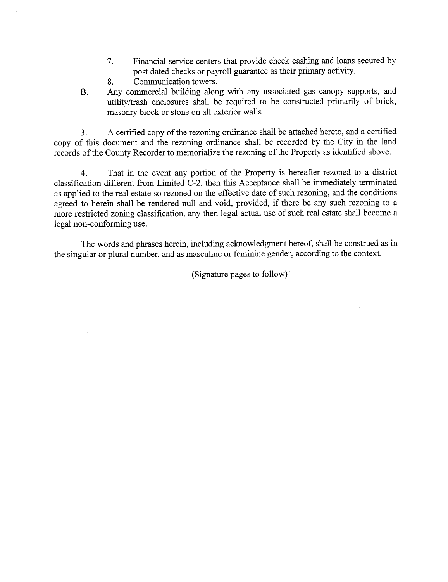- 7. Financial service centers that provide check cashing and loans secured by post dated checks or payroll guarantee as their primary activity.
- 8. Communication towers.
- B. Any commercial building along with any associated gas canopy supports, and utility/trash enclosures shall be required to be constructed primarily of brick, masonry block or stone on all exterior walls.

3. A certified copy of the rezonig ordinance shall be attached hereto, and a certified copy of this document and the rezoning ordinance shall be recorded by the City in the land records of the County Recorder to memorialize the rezoning of the Property as identified above.

4. That in the event any portion of the Property is hereafter rezoned to a district classification different from Limited C-2, then this Acceptance shall be immediately terminated as applied to the real estate so rezoned on the effective date of such rezoning, and the conditions agreed to herein shall be rendered null and void, provided, if there be any such rezoning to a more restricted zoning classification, any then legal actual use of such real estate shall become a legal non-conforming use.

The words and phrases herein, including acknowledgment hereof, shall be constred as in the singular or plural number, and as masculine or feminie gender, according to the context.

(Signature pages to follow)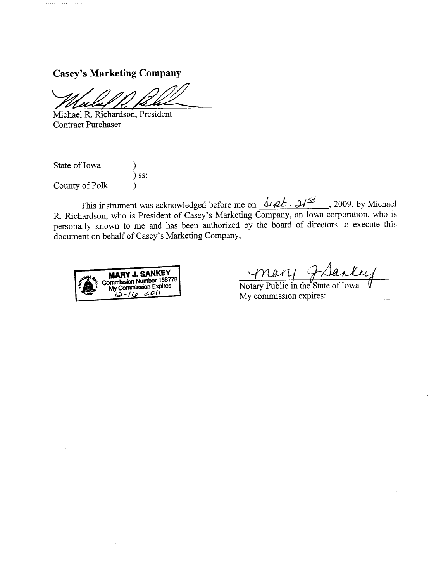$\sim$  .

<u>. . . .</u> . . . . . . . .

Casey's Marketing Company<br>
Michael R. Richardson, President

Contract Purchaser

State of Iowa ) ) ss: County of Polk )

This instrument was acknowledged before me on  $\sqrt{$ le  $\ell$ .  $\sqrt{2}$  , 2009, by Michael R. Richardson, who is President of Casey's Marketing Company, an Iowa corporation, who is personally known to me and has been authorized by the board of directors to execute this document on behalf of Casey's Marketing Company,



My commission expires: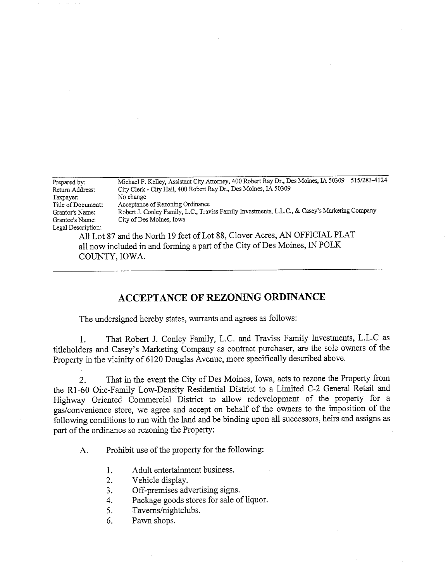| Prepared by:       | 515/283-4124<br>Michael F. Kelley, Assistant City Attorney, 400 Robert Ray Dr., Des Moines, IA 50309 |  |  |  |  |
|--------------------|------------------------------------------------------------------------------------------------------|--|--|--|--|
| Return Address:    | City Clerk - City Hall, 400 Robert Ray Dr., Des Moines, IA 50309                                     |  |  |  |  |
| Taxpayer:          | No change                                                                                            |  |  |  |  |
| Title of Document: | Acceptance of Rezoning Ordinance                                                                     |  |  |  |  |
| Grantor's Name:    | Robert J. Conley Family, L.C., Traviss Family Investments, L.L.C., & Casey's Marketing Company       |  |  |  |  |
| Grantee's Name:    | City of Des Moines, Iowa                                                                             |  |  |  |  |
| Legal Description: |                                                                                                      |  |  |  |  |
|                    | All Let 27 and the North 10 feet of Lot 22. Cloyer Acres, AN OFFICIAL PLAT                           |  |  |  |  |

All Lot 87 and the North 19 feet of Lot 88, Clover Acres, AN OFFICIAL PLAT all now included in and forming a part of the City of Des Moines, IN POLK COUNTY, IOWA.

## ACCEPTANCE OF REZONING ORDINANCE

The undersigned hereby states, warants and agrees as follows:

1. That Robert J. Conley Famly, L.C. and Traviss Famly Investments, L.L.C as titleholders and Casey's Marketing Company as contract purchaser, are the sole owners of the Property in the vicinity of 6120 Douglas Avenue, more specifically described above.

2. That in the event the City of Des Moines, Iowa, acts to rezone the Property from the R1-60 One-Family Low-Density Residential District to a Limited C-2 General Retail and Highway Oriented Commercial District to allow redevelopment of the property for a gas/convenience store, we agree and accept on behalf of the owners to the imposition of the following conditions to run with the land and be binding upon all successors, heirs and assigns as part of the ordinance so rezoning the Property:

A. Prohibit use of the property for the following:

- 1. Adult entertainment business.
- 2. Vehicle display.
- 3. Off-premises advertising signs.
- 4. Package goods stores for sale of liquor.
- 5. Taverns/nightclubs.
- 6. Pawn shops.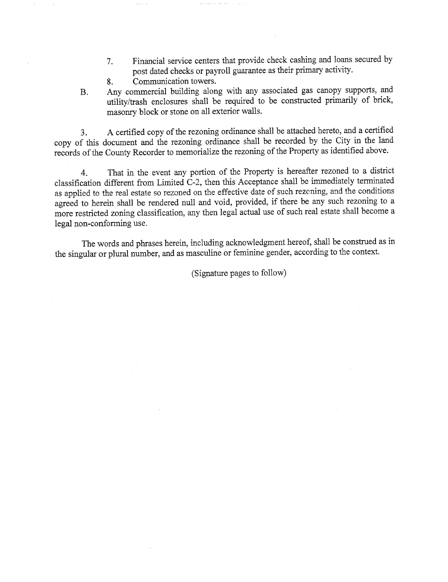- 7. Financial service centers that provide check cashing and loans secured by post dated checks or payroll guarantee as their primary activity.
- 8. Communication towers.
- B. Any commercial buiding along with any associated gas canopy supports, and utility/trash enclosures shall be required to be constructed primarily of brick, masonry block or stone on all exterior walls.

3. A certified copy of the rezoning ordiance shall be attached hereto, and a certified copy of this document and the rezoning ordinance shall be recorded by the City in the land records of the County Recorder to memorialize the rezoning of the Property as identified above.

4. That in the event any portion of the Property is hereafter rezoned to a district classification different from Limited  $C-2$ , then this Acceptance shall be immediately terminated as applied to the real estate so rezoned on the effective date of such rezcning, and the conditions agreed to herein shall be rendered null and void, provided, if there be any such rezoning to a more restricted zoning classification, any then legal actual use of such real estate shall become a legal non-conforming use.

The words and phrases herein, including acknowledgment hereof, shall be constred as in the singular or plural number, and as masculine or feminine gender, according to the context.

(Signatue pages to follow)